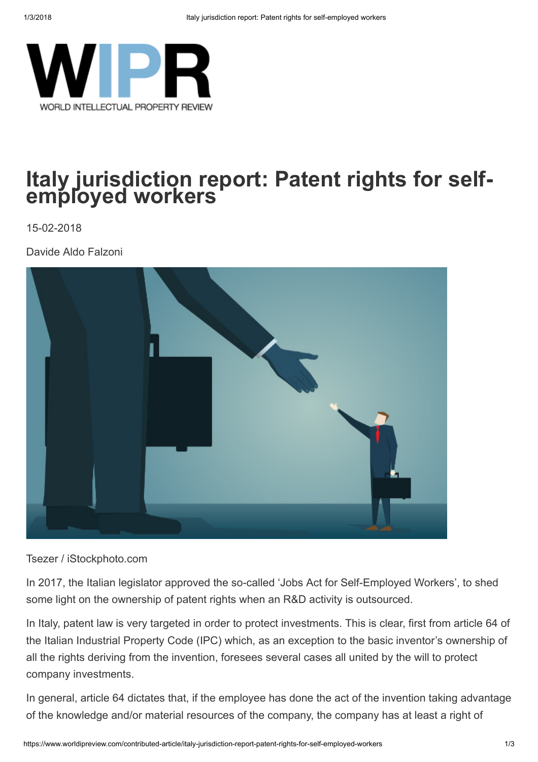

## Italy jurisdiction report: Patent rights for selfemployed workers

15-02-2018

Davide Aldo Falzoni



Tsezer / iStockphoto.com

In 2017, the Italian legislator approved the so-called 'Jobs Act for Self-Employed Workers', to shed some light on the ownership of patent rights when an R&D activity is outsourced.

In Italy, patent law is very targeted in order to protect investments. This is clear, first from article 64 of the Italian Industrial Property Code (IPC) which, as an exception to the basic inventor's ownership of all the rights deriving from the invention, foresees several cases all united by the will to protect company investments.

In general, article 64 dictates that, if the employee has done the act of the invention taking advantage of the knowledge and/or material resources of the company, the company has at least a right of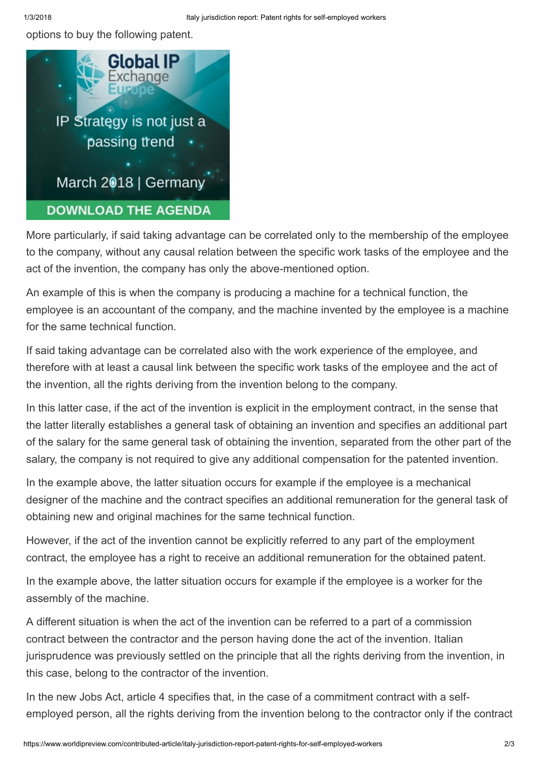options to buy the following patent.



More particularly, if said taking advantage can be correlated only to the membership of the employee to the company, without any causal relation between the specific work tasks of the employee and the act of the invention, the company has only the above-mentioned option.

An example of this is when the company is producing a machine for a technical function, the employee is an accountant of the company, and the machine invented by the employee is a machine for the same technical function.

If said taking advantage can be correlated also with the work experience of the employee, and therefore with at least a causal link between the specific work tasks of the employee and the act of the invention, all the rights deriving from the invention belong to the company.

In this latter case, if the act of the invention is explicit in the employment contract, in the sense that the latter literally establishes a general task of obtaining an invention and specifies an additional part of the salary for the same general task of obtaining the invention, separated from the other part of the salary, the company is not required to give any additional compensation for the patented invention.

In the example above, the latter situation occurs for example if the employee is a mechanical designer of the machine and the contract specifies an additional remuneration for the general task of obtaining new and original machines for the same technical function.

However, if the act of the invention cannot be explicitly referred to any part of the employment contract, the employee has a right to receive an additional remuneration for the obtained patent.

In the example above, the latter situation occurs for example if the employee is a worker for the assembly of the machine.

A different situation is when the act of the invention can be referred to a part of a commission contract between the contractor and the person having done the act of the invention. Italian jurisprudence was previously settled on the principle that all the rights deriving from the invention, in this case, belong to the contractor of the invention.

In the new Jobs Act, article 4 specifies that, in the case of a commitment contract with a selfemployed person, all the rights deriving from the invention belong to the contractor only if the contract